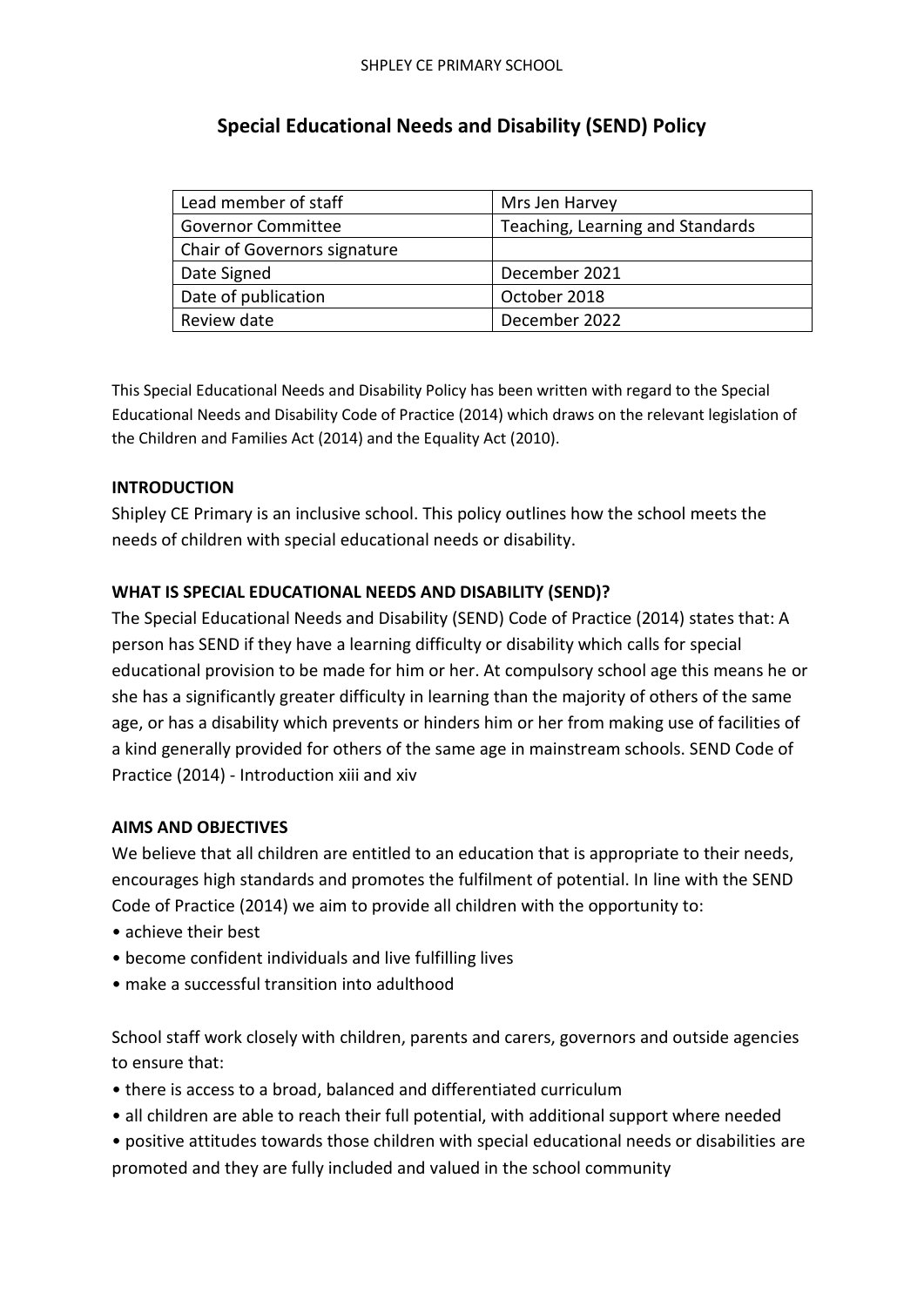# **Special Educational Needs and Disability (SEND) Policy**

| Lead member of staff                | Mrs Jen Harvey                   |  |
|-------------------------------------|----------------------------------|--|
| <b>Governor Committee</b>           | Teaching, Learning and Standards |  |
| <b>Chair of Governors signature</b> |                                  |  |
| Date Signed                         | December 2021                    |  |
| Date of publication                 | October 2018                     |  |
| Review date                         | December 2022                    |  |

This Special Educational Needs and Disability Policy has been written with regard to the Special Educational Needs and Disability Code of Practice (2014) which draws on the relevant legislation of the Children and Families Act (2014) and the Equality Act (2010).

# **INTRODUCTION**

Shipley CE Primary is an inclusive school. This policy outlines how the school meets the needs of children with special educational needs or disability.

# **WHAT IS SPECIAL EDUCATIONAL NEEDS AND DISABILITY (SEND)?**

The Special Educational Needs and Disability (SEND) Code of Practice (2014) states that: A person has SEND if they have a learning difficulty or disability which calls for special educational provision to be made for him or her. At compulsory school age this means he or she has a significantly greater difficulty in learning than the majority of others of the same age, or has a disability which prevents or hinders him or her from making use of facilities of a kind generally provided for others of the same age in mainstream schools. SEND Code of Practice (2014) - Introduction xiii and xiv

# **AIMS AND OBJECTIVES**

We believe that all children are entitled to an education that is appropriate to their needs, encourages high standards and promotes the fulfilment of potential. In line with the SEND Code of Practice (2014) we aim to provide all children with the opportunity to:

- achieve their best
- become confident individuals and live fulfilling lives
- make a successful transition into adulthood

School staff work closely with children, parents and carers, governors and outside agencies to ensure that:

- there is access to a broad, balanced and differentiated curriculum
- all children are able to reach their full potential, with additional support where needed
- positive attitudes towards those children with special educational needs or disabilities are promoted and they are fully included and valued in the school community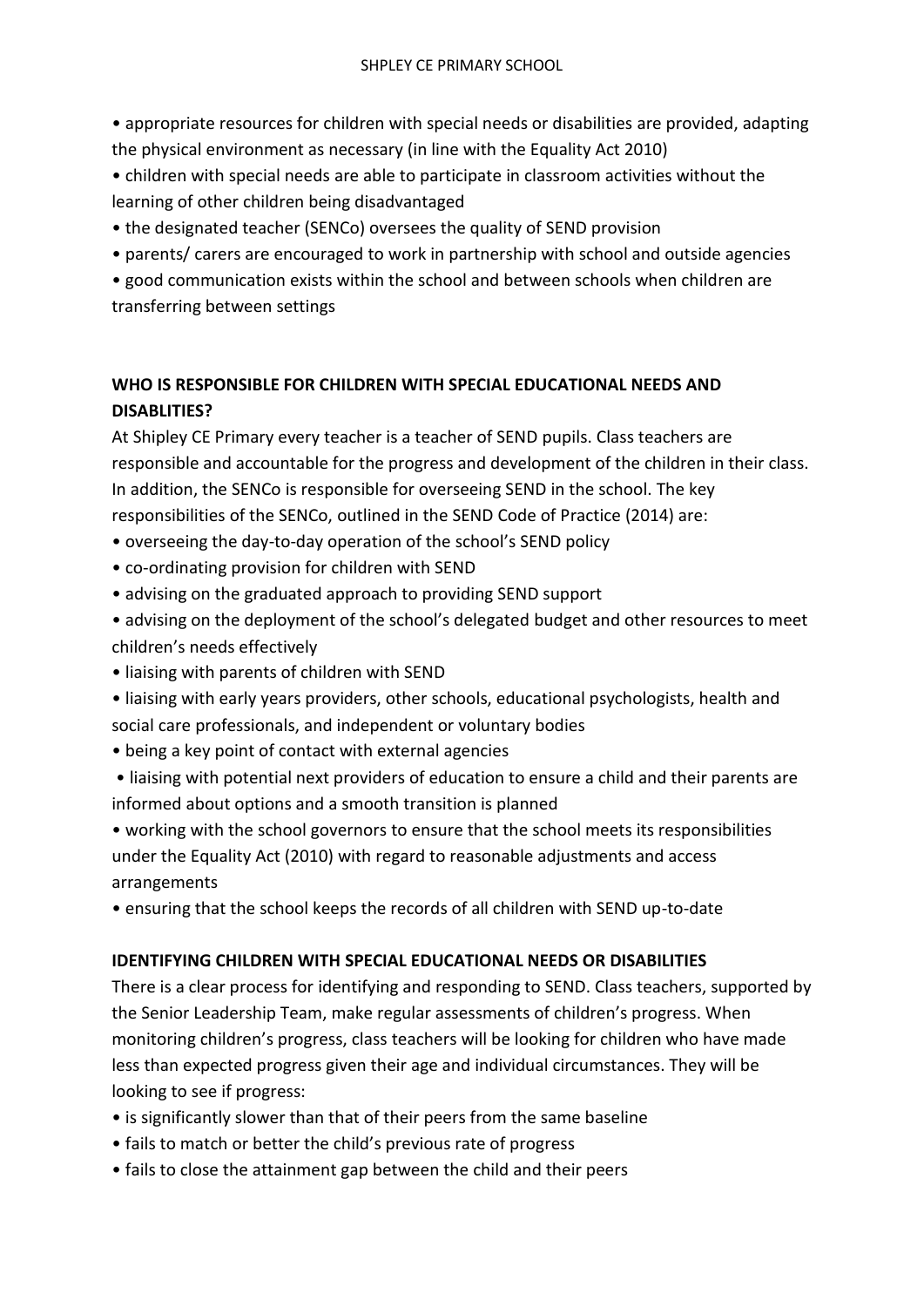• appropriate resources for children with special needs or disabilities are provided, adapting the physical environment as necessary (in line with the Equality Act 2010)

- children with special needs are able to participate in classroom activities without the learning of other children being disadvantaged
- the designated teacher (SENCo) oversees the quality of SEND provision
- parents/ carers are encouraged to work in partnership with school and outside agencies

• good communication exists within the school and between schools when children are transferring between settings

# **WHO IS RESPONSIBLE FOR CHILDREN WITH SPECIAL EDUCATIONAL NEEDS AND DISABLITIES?**

At Shipley CE Primary every teacher is a teacher of SEND pupils. Class teachers are responsible and accountable for the progress and development of the children in their class. In addition, the SENCo is responsible for overseeing SEND in the school. The key responsibilities of the SENCo, outlined in the SEND Code of Practice (2014) are:

- overseeing the day-to-day operation of the school's SEND policy
- co-ordinating provision for children with SEND
- advising on the graduated approach to providing SEND support
- advising on the deployment of the school's delegated budget and other resources to meet children's needs effectively
- liaising with parents of children with SEND
- liaising with early years providers, other schools, educational psychologists, health and social care professionals, and independent or voluntary bodies
- being a key point of contact with external agencies
- liaising with potential next providers of education to ensure a child and their parents are informed about options and a smooth transition is planned

• working with the school governors to ensure that the school meets its responsibilities under the Equality Act (2010) with regard to reasonable adjustments and access arrangements

• ensuring that the school keeps the records of all children with SEND up-to-date

# **IDENTIFYING CHILDREN WITH SPECIAL EDUCATIONAL NEEDS OR DISABILITIES**

There is a clear process for identifying and responding to SEND. Class teachers, supported by the Senior Leadership Team, make regular assessments of children's progress. When monitoring children's progress, class teachers will be looking for children who have made less than expected progress given their age and individual circumstances. They will be looking to see if progress:

- is significantly slower than that of their peers from the same baseline
- fails to match or better the child's previous rate of progress
- fails to close the attainment gap between the child and their peers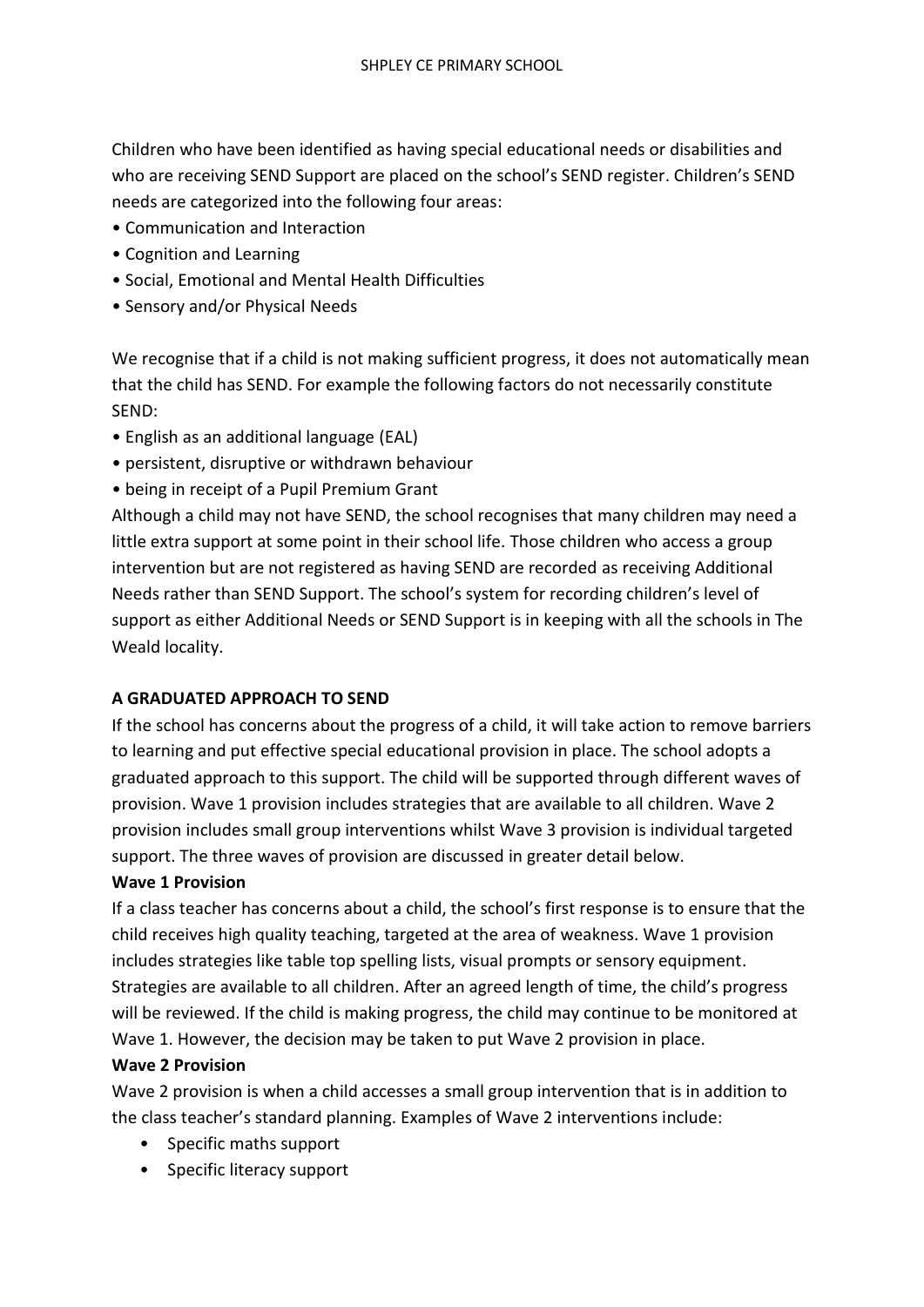Children who have been identified as having special educational needs or disabilities and who are receiving SEND Support are placed on the school's SEND register. Children's SEND needs are categorized into the following four areas:

- Communication and Interaction
- Cognition and Learning
- Social, Emotional and Mental Health Difficulties
- Sensory and/or Physical Needs

We recognise that if a child is not making sufficient progress, it does not automatically mean that the child has SEND. For example the following factors do not necessarily constitute SEND:

- English as an additional language (EAL)
- persistent, disruptive or withdrawn behaviour
- being in receipt of a Pupil Premium Grant

Although a child may not have SEND, the school recognises that many children may need a little extra support at some point in their school life. Those children who access a group intervention but are not registered as having SEND are recorded as receiving Additional Needs rather than SEND Support. The school's system for recording children's level of support as either Additional Needs or SEND Support is in keeping with all the schools in The Weald locality.

#### **A GRADUATED APPROACH TO SEND**

If the school has concerns about the progress of a child, it will take action to remove barriers to learning and put effective special educational provision in place. The school adopts a graduated approach to this support. The child will be supported through different waves of provision. Wave 1 provision includes strategies that are available to all children. Wave 2 provision includes small group interventions whilst Wave 3 provision is individual targeted support. The three waves of provision are discussed in greater detail below.

#### **Wave 1 Provision**

If a class teacher has concerns about a child, the school's first response is to ensure that the child receives high quality teaching, targeted at the area of weakness. Wave 1 provision includes strategies like table top spelling lists, visual prompts or sensory equipment. Strategies are available to all children. After an agreed length of time, the child's progress will be reviewed. If the child is making progress, the child may continue to be monitored at Wave 1. However, the decision may be taken to put Wave 2 provision in place.

#### **Wave 2 Provision**

Wave 2 provision is when a child accesses a small group intervention that is in addition to the class teacher's standard planning. Examples of Wave 2 interventions include:

- Specific maths support
- Specific literacy support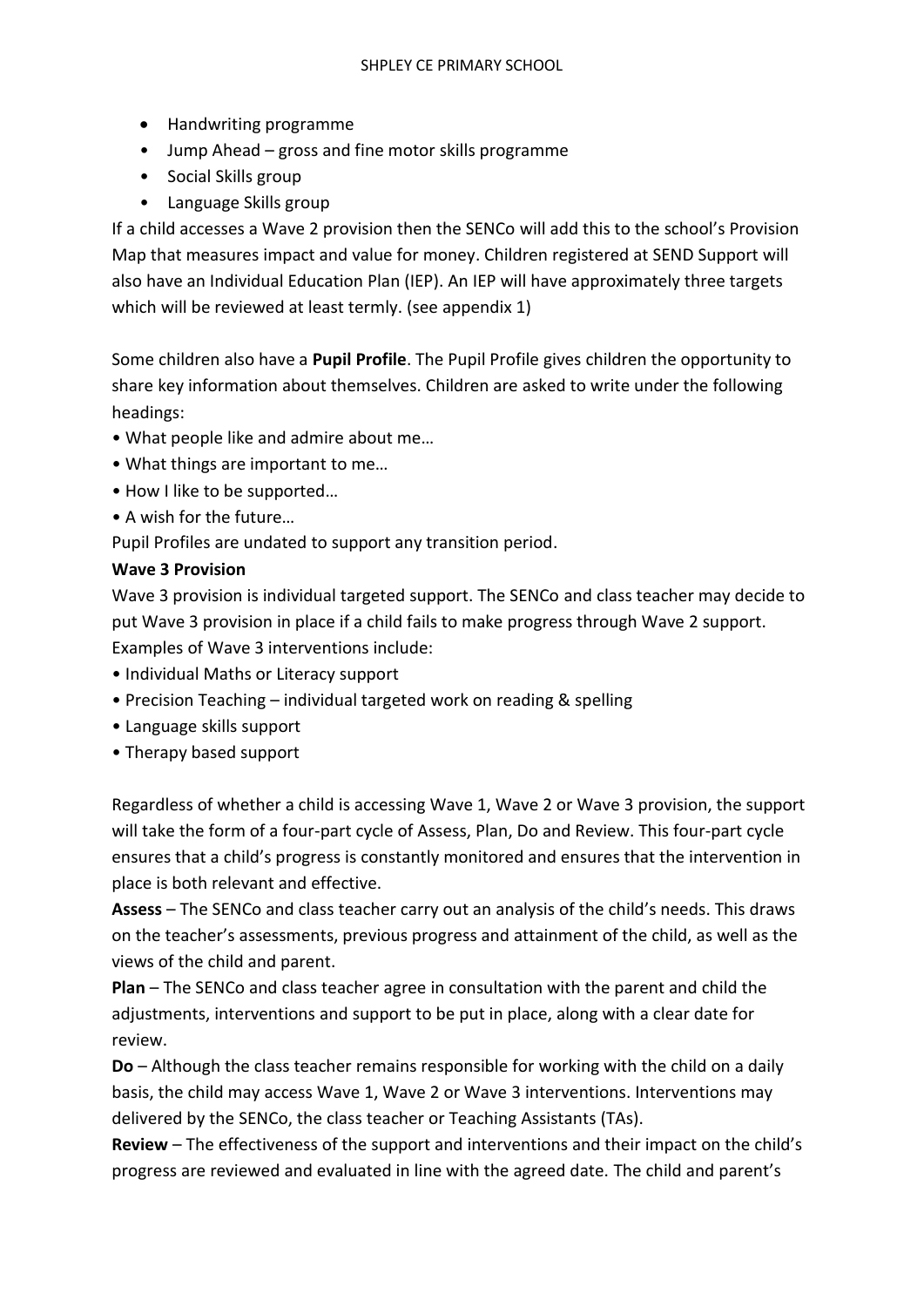- Handwriting programme
- Jump Ahead gross and fine motor skills programme
- Social Skills group
- Language Skills group

If a child accesses a Wave 2 provision then the SENCo will add this to the school's Provision Map that measures impact and value for money. Children registered at SEND Support will also have an Individual Education Plan (IEP). An IEP will have approximately three targets which will be reviewed at least termly. (see appendix 1)

Some children also have a **Pupil Profile**. The Pupil Profile gives children the opportunity to share key information about themselves. Children are asked to write under the following headings:

- What people like and admire about me…
- What things are important to me…
- How I like to be supported…
- A wish for the future…

Pupil Profiles are undated to support any transition period.

#### **Wave 3 Provision**

Wave 3 provision is individual targeted support. The SENCo and class teacher may decide to put Wave 3 provision in place if a child fails to make progress through Wave 2 support. Examples of Wave 3 interventions include:

- Individual Maths or Literacy support
- Precision Teaching individual targeted work on reading & spelling
- Language skills support
- Therapy based support

Regardless of whether a child is accessing Wave 1, Wave 2 or Wave 3 provision, the support will take the form of a four-part cycle of Assess, Plan, Do and Review. This four-part cycle ensures that a child's progress is constantly monitored and ensures that the intervention in place is both relevant and effective.

**Assess** – The SENCo and class teacher carry out an analysis of the child's needs. This draws on the teacher's assessments, previous progress and attainment of the child, as well as the views of the child and parent.

**Plan** – The SENCo and class teacher agree in consultation with the parent and child the adjustments, interventions and support to be put in place, along with a clear date for review.

**Do** – Although the class teacher remains responsible for working with the child on a daily basis, the child may access Wave 1, Wave 2 or Wave 3 interventions. Interventions may delivered by the SENCo, the class teacher or Teaching Assistants (TAs).

**Review** – The effectiveness of the support and interventions and their impact on the child's progress are reviewed and evaluated in line with the agreed date. The child and parent's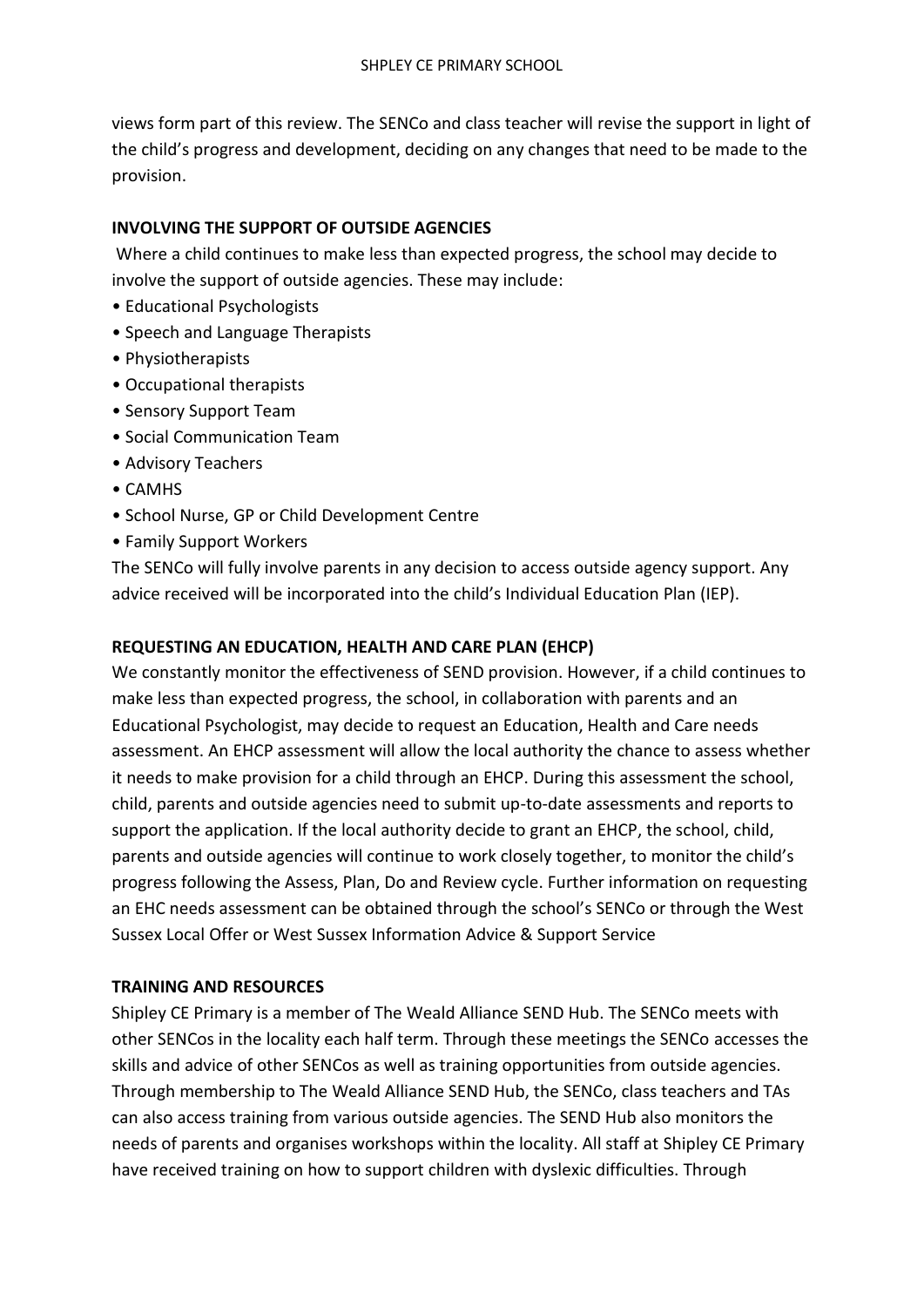views form part of this review. The SENCo and class teacher will revise the support in light of the child's progress and development, deciding on any changes that need to be made to the provision.

## **INVOLVING THE SUPPORT OF OUTSIDE AGENCIES**

Where a child continues to make less than expected progress, the school may decide to involve the support of outside agencies. These may include:

- Educational Psychologists
- Speech and Language Therapists
- Physiotherapists
- Occupational therapists
- Sensory Support Team
- Social Communication Team
- Advisory Teachers
- CAMHS
- School Nurse, GP or Child Development Centre
- Family Support Workers

The SENCo will fully involve parents in any decision to access outside agency support. Any advice received will be incorporated into the child's Individual Education Plan (IEP).

## **REQUESTING AN EDUCATION, HEALTH AND CARE PLAN (EHCP)**

We constantly monitor the effectiveness of SEND provision. However, if a child continues to make less than expected progress, the school, in collaboration with parents and an Educational Psychologist, may decide to request an Education, Health and Care needs assessment. An EHCP assessment will allow the local authority the chance to assess whether it needs to make provision for a child through an EHCP. During this assessment the school, child, parents and outside agencies need to submit up-to-date assessments and reports to support the application. If the local authority decide to grant an EHCP, the school, child, parents and outside agencies will continue to work closely together, to monitor the child's progress following the Assess, Plan, Do and Review cycle. Further information on requesting an EHC needs assessment can be obtained through the school's SENCo or through the West Sussex Local Offer or West Sussex Information Advice & Support Service

#### **TRAINING AND RESOURCES**

Shipley CE Primary is a member of The Weald Alliance SEND Hub. The SENCo meets with other SENCos in the locality each half term. Through these meetings the SENCo accesses the skills and advice of other SENCos as well as training opportunities from outside agencies. Through membership to The Weald Alliance SEND Hub, the SENCo, class teachers and TAs can also access training from various outside agencies. The SEND Hub also monitors the needs of parents and organises workshops within the locality. All staff at Shipley CE Primary have received training on how to support children with dyslexic difficulties. Through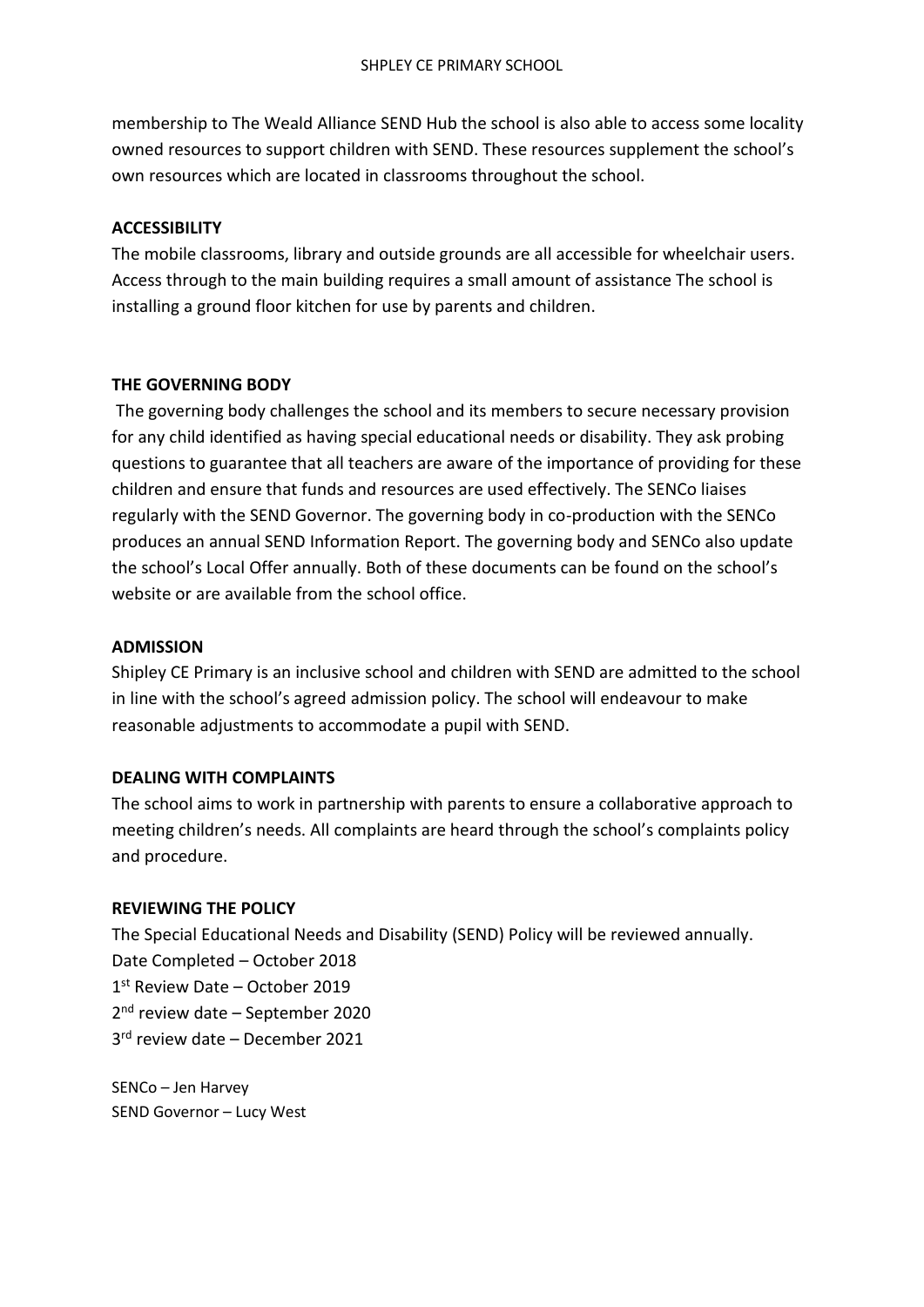membership to The Weald Alliance SEND Hub the school is also able to access some locality owned resources to support children with SEND. These resources supplement the school's own resources which are located in classrooms throughout the school.

## **ACCESSIBILITY**

The mobile classrooms, library and outside grounds are all accessible for wheelchair users. Access through to the main building requires a small amount of assistance The school is installing a ground floor kitchen for use by parents and children.

## **THE GOVERNING BODY**

The governing body challenges the school and its members to secure necessary provision for any child identified as having special educational needs or disability. They ask probing questions to guarantee that all teachers are aware of the importance of providing for these children and ensure that funds and resources are used effectively. The SENCo liaises regularly with the SEND Governor. The governing body in co-production with the SENCo produces an annual SEND Information Report. The governing body and SENCo also update the school's Local Offer annually. Both of these documents can be found on the school's website or are available from the school office.

#### **ADMISSION**

Shipley CE Primary is an inclusive school and children with SEND are admitted to the school in line with the school's agreed admission policy. The school will endeavour to make reasonable adjustments to accommodate a pupil with SEND.

# **DEALING WITH COMPLAINTS**

The school aims to work in partnership with parents to ensure a collaborative approach to meeting children's needs. All complaints are heard through the school's complaints policy and procedure.

#### **REVIEWING THE POLICY**

The Special Educational Needs and Disability (SEND) Policy will be reviewed annually. Date Completed – October 2018 1 st Review Date – October 2019 2<sup>nd</sup> review date - September 2020 3 rd review date – December 2021

SENCo – Jen Harvey SEND Governor – Lucy West